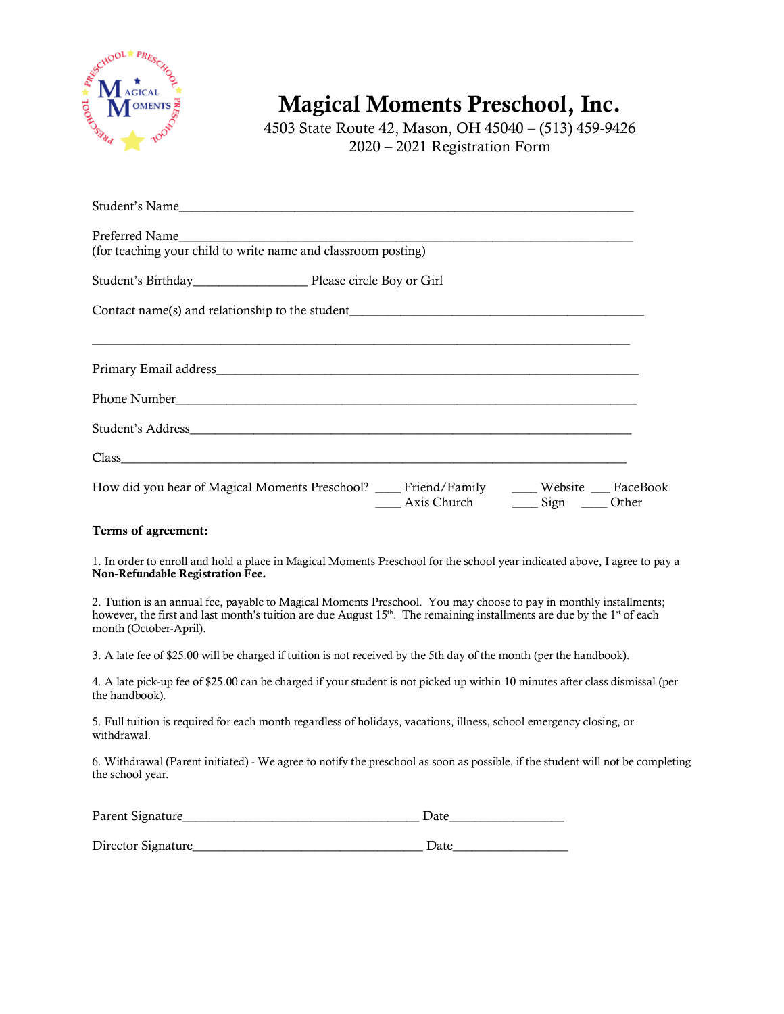

Magical Moments Preschool, Inc.

4503 State Route 42, Mason, OH 45040 – (513) 459-9426 2020 – 2021 Registration Form

| Student's Name                                                                                                                               |  |  |
|----------------------------------------------------------------------------------------------------------------------------------------------|--|--|
| (for teaching your child to write name and classroom posting)                                                                                |  |  |
|                                                                                                                                              |  |  |
| Contact name(s) and relationship to the student__________________________________                                                            |  |  |
|                                                                                                                                              |  |  |
|                                                                                                                                              |  |  |
|                                                                                                                                              |  |  |
| How did you hear of Magical Moments Preschool? ____ Friend/Family _____ Website ___ FaceBook<br>Axis Church<br>$Sign$ <sub>__</sub><br>Other |  |  |

## Terms of agreement:

1. In order to enroll and hold a place in Magical Moments Preschool for the school year indicated above, I agree to pay a Non-Refundable Registration Fee.

2. Tuition is an annual fee, payable to Magical Moments Preschool. You may choose to pay in monthly installments; however, the first and last month's tuition are due August  $15<sup>th</sup>$ . The remaining installments are due by the  $1<sup>st</sup>$  of each month (October-April).

3. A late fee of \$25.00 will be charged if tuition is not received by the 5th day of the month (per the handbook).

4. A late pick-up fee of \$25.00 can be charged if your student is not picked up within 10 minutes after class dismissal (per the handbook).

5. Full tuition is required for each month regardless of holidays, vacations, illness, school emergency closing, or withdrawal.

6. Withdrawal (Parent initiated) - We agree to notify the preschool as soon as possible, if the student will not be completing the school year.

| Parent Signature_   | Date |
|---------------------|------|
|                     |      |
| Director Signature_ | Date |